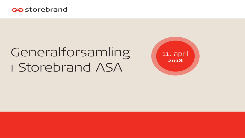

# Generalforsamling *i* Storebrand ASA

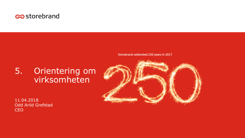

Storebrand celebrated 250 years in 2017

## 5. Orientering om virksomheten

11.04.2018 Odd Arild Grefstad CEO

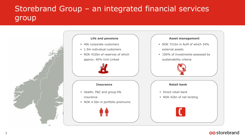## Storebrand Group – an integrated financial services group



### ලන storebrand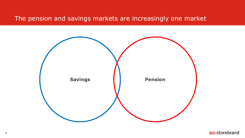The pension and savings markets are increasingly one market

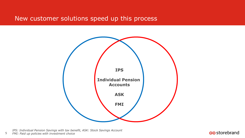### New customer solutions speed up this process



*IPS: Individual Pension Savings with tax benefit, ASK: Stock Savings Account* 5 *FMI: Paid up policies with investment choice*

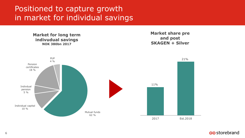## Positioned to capture growth in market for individual savings



### ලන storebrand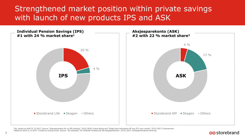### Strengthened market position within private savings with launch of new products IPS and ASK



<sup>1</sup> Est. based on AUM 31.12.2017. Source: "Kjempesuksess for ny IPS-ordning", 18.01.2018, Finans Norge and "Solgte bare halvparten så mye IP S som ventet", 03.01.2017, Finansavisen. <sup>2</sup> Based on AUM 31.12.2017. Limited to mutual funds. Source: "Ny statistikk: 52 milliarder fondskroner på aksjesparekonto", 24.01.2017, Verdipapirfondenes forening.

#### ostorebrand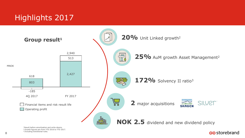## Highlights 2017



### ලන storebrand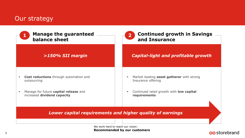### Our strategy

| <b>Manage the guaranteed</b><br>balance sheet                                                                                 | <b>Continued growth in Savings</b><br>and Insurance                                                                                   |  |  |
|-------------------------------------------------------------------------------------------------------------------------------|---------------------------------------------------------------------------------------------------------------------------------------|--|--|
| $>150\%$ SII margin                                                                                                           | <b>Capital-light and profitable growth</b>                                                                                            |  |  |
| Cost reductions through automation and<br>outsourcing<br>Manage for future capital release and<br>increased dividend capacity | Market leading asset gatherer with strong<br>л<br>Insurance offering<br>Continued retail growth with low capital<br>٠<br>requirements |  |  |
| Lower capital requirements and higher quality of earnings                                                                     |                                                                                                                                       |  |  |

We work hard to reach our vision: **Recommended by our customers**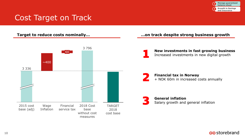

## Cost Target on Track



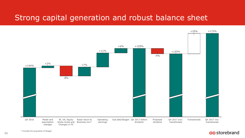### Strong capital generation and robust balance sheet



### es storebrand

\* Includes the acquisition of Skagen

11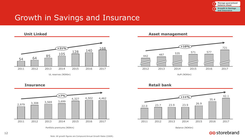

### Growth in Savings and Insurance

 $\begin{array}{|c|c|c|c|c|}\n\hline\n & & 64 & 85 & 105 & 128 & 140 & 168 \\
\hline\n & 64 & 85 & 105 & 128 & 140 & 168 \\
\hline\n\end{array}$ 2011 2012 2013 2014 2015 2016 2017 **+21%** UL reserves (NOKbn) **Unit Linked**

#### **Asset management**



#### **Insurance**



Portfolio premiums (NOKm) and the control of the control of the control of the control of the Balance (NOKbn)





### es storebrand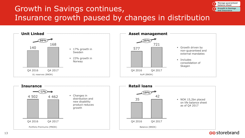## Growth in Savings continues, Insurance growth paused by changes in distribution



es storebrand

**Manage guaranteed balance sheet Growth in Savings and Insurance**

**1 2**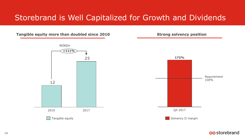## Storebrand is Well Capitalized for Growth and Dividends

**Tangible equity more than doubled since 2010**



**Strong solvency position**



es storebrand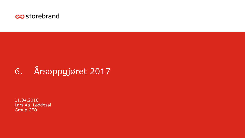

## 6. Årsoppgjøret 2017

11.04.2018 Lars Aa. Løddesøl Group CFO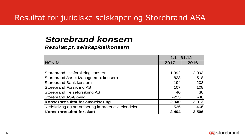### Resultat for juridiske selskaper og Storebrand ASA

### *Storebrand konsern*

### *Resultat pr. selskap/delkonsern*

|                                                    | $1.1 - 31.12$ |         |
|----------------------------------------------------|---------------|---------|
| <b>NOK Mill.</b>                                   | 2017          | 2016    |
|                                                    |               |         |
| Storebrand Livsforsikring konsern                  | 1 9 9 2       | 2 0 9 3 |
| Storebrand Asset Management konsern                | 823           | 518     |
| Storebrand Bank konsern                            | 194           | 203     |
| <b>Storebrand Forsikring AS</b>                    | 107           | 108     |
| Storebrand Helseforsikring AS                      | 40            | 38      |
| Storebrand ASA/Øvrig                               | $-215$        | $-48$   |
| Konsernresultat før amortisering                   | 2940          | 2913    |
| Nedskriving og amortisering immaterielle eiendeler | $-536$        | $-406$  |
| Konsernresultat før skatt                          | 2 4 0 4       | 2 5 0 6 |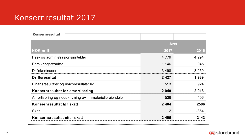### Konsernresultat 2017

| <b>Konsernresultat</b>                                 |                |         |
|--------------------------------------------------------|----------------|---------|
|                                                        | Året           |         |
| <b>NOK mill</b>                                        | 2017           | 2016    |
| Fee- og administrasjonsinntekter                       | 4 7 7 9        | 4 2 9 4 |
| Forsikringsresultat                                    | 1 146          | 945     |
| Driftskostnader                                        | $-3498$        | $-3250$ |
| <b>Driftsresultat</b>                                  | 2 4 2 7        | 1989    |
| Finansresultater og risikoresultater liv               | 513            | 924     |
| Konsernresultat før amortisering                       | 2 9 4 0        | 2913    |
| Amortisering og nedskrivning av immaterielle eiendeler | -536           | $-406$  |
| Konsernresultat før skatt                              | 2 4 0 4        | 2506    |
| Skatt                                                  | $\overline{2}$ | $-364$  |
| Konsernsresultat etter skatt                           | 2 4 0 5        | 2143    |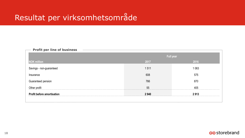## Resultat per virksomhetsområde

| <b>Example 2 Find of business</b> |           |         |  |
|-----------------------------------|-----------|---------|--|
|                                   | Full year |         |  |
| <b>NOK million</b>                | 2017      | 2016    |  |
| Savings - non-guaranteed          | 1511      | 1 0 6 3 |  |
| Insurance                         | 608       | 575     |  |
| Guaranteed pension                | 766       | 870     |  |
| Other profit                      | 55        | 405     |  |
| <b>Profit before amortisation</b> | 2940      | 2 913   |  |
|                                   |           |         |  |

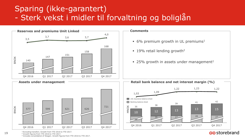## Sparing (ikke-garantert) - Sterk vekst i midler til forvaltning og boliglån



<sup>2</sup> Growth figures from YTD 2016 to YTD 2017.

<sup>3</sup> Includes consolidation of Skagen. Growth figures from YTD 2016 to YTD 2017.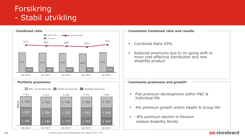## Forsikring - Stabil utvikling



<sup>1</sup> Growth figures show development from 2016 to 2017 YTD.

### ostorebrand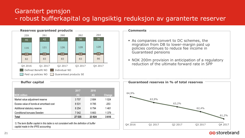### Garantert pensjon - robust bufferkapital og langsiktig reduksjon av garanterte reserver

Q4 2016



| 2017    | 2016  |         |
|---------|-------|---------|
| 4Q      | 4Q    | Change  |
| 3 7 0 7 | 2684  | 1 0 2 4 |
| 8531    | 8785  | $-253$  |
| 8 2 5 4 | 6794  | 1461    |
| 7042    | 5663  | 1 3 7 9 |
| 27 535  | 23924 | 3610    |
|         |       |         |

*1) The term Buffer capital in this table is not consistent with the definition of buffer capital made in the IFRS accounting*



Q1 2017 Q3 2017 Q2 2017

es storebrand

Q4 2017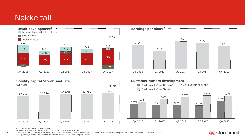## Nøkkeltall









<sup>1</sup> Result before amortisation, write-downs.

<sup>2</sup>Earnings per share after tax adjusted for amortisation of intangible assets.

<sup>3</sup> Customer buffers in Benco not included. In addition there are unallocated investment results of NOK 4.3 billion in Norwegian guaranteed that will be allocated at year end. <sup>4</sup>Solidity capital/customer buffers does not include provisions for future longevity reserves.

### es storebrand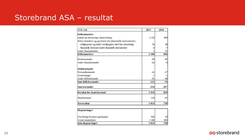### Storebrand ASA – resultat

| NOK mill.                                                  | 2017    | 2016   |
|------------------------------------------------------------|---------|--------|
| <b>Driftsinntekter</b>                                     |         |        |
| Inntekt på investering i datterselskap                     | 2 1 5 4 | 899    |
| Netto inntekter og gevinster fra finansielle instrumenter: |         |        |
| -obligasjoner og andre verdipapirer med fast avkastning    | 36      | 48     |
| -finansielle derivater/andre finansielle instrumenter      | -4      | $-7$   |
| Andre finansinntekter                                      |         | 55     |
| <b>Driftsinntekter</b>                                     | 2 1 8 8 | 996    |
| Rentekostnader                                             | $-69$   | $-85$  |
| Andre finanskostnader                                      | $-62$   | -6     |
| Driftskostnader                                            |         |        |
| Personalkostnader                                          | $-41$   | $-27$  |
| Avskrivninger                                              | -1      | $-1$   |
| Andre driftskostnader                                      | -81     | -48    |
| Sum driftskostnader                                        | $-123$  | -76    |
| Sum kostnader                                              | $-254$  | $-167$ |
| Resultat før skattekostnad                                 | 1934    | 829    |
| Skattekostnad                                              | $-110$  | $-91$  |
| Årsresultat                                                | 1824    | 738    |
| Disponeringer                                              |         |        |

| <b>Disponeringer</b>             |         |     |
|----------------------------------|---------|-----|
| Overføring til annen egenkapital | 656     | 43  |
| Avsatt aksjeutbytte              | 1 1 6 8 | 695 |
| Sum disponeringer                | 1824    | 738 |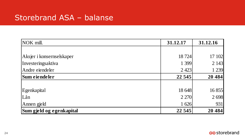### Storebrand ASA – balanse

| NOK mill.                 | 31.12.17 | 31.12.16 |
|---------------------------|----------|----------|
|                           |          |          |
| Aksjer i konsernselskaper | 18 724   | 17 102   |
| Investeringsaktiva        | 1 3 9 9  | 2 1 4 3  |
| Andre eiendeler           | 2 4 2 3  | 1 2 3 9  |
| Sum eiendeler             | 22 5 45  | 20 4 84  |
|                           |          |          |
| Egenkapital               | 18 648   | 16 855   |
| Lån                       | 2 2 7 0  | 2698     |
| Annen gjeld               | 1 626    | 931      |
| Sum gjeld og egenkapital  | 22 5 45  | 20 4 84  |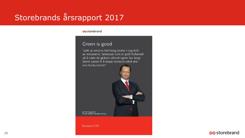## Storebrands årsrapport 2017

costorebrand

### Green is good

"20% av verdens befolking bruker i dag 80% av ressursene. Selskaper som er godt forberedt på å møte de globale utfordringene har langt større sjanse til å skape lønnsom vekst enn sine konkurrenter"



Jan Erik Saugestad, Konserndirektør Kapitalforvaltning

Årsrapport 2017

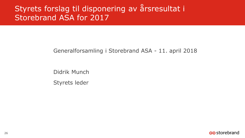## Styrets forslag til disponering av årsresultat i Storebrand ASA for 2017

### Generalforsamling i Storebrand ASA - 11. april 2018

Didrik Munch Styrets leder

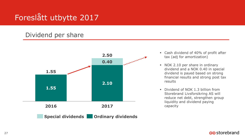## Foreslått utbytte 2017

### Dividend per share



- Cash dividend of 40% of profit after tax (adj for amortization)
- NOK 2.10 per share in ordinary dividend and a NOK 0.40 in special dividend is payed based on strong financial results and strong post tax results
- Dividend of NOK 1.3 billion from Storebrand Livsforsikring AS will reduce net debt, strengthen group liquidity and dividend paying capacity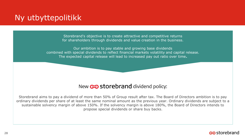## Ny utbyttepolitikk

Storebrand's objective is to create attractive and competitive returns for shareholders through dividends and value creation in the business.

Our ambition is to pay stable and growing base dividends combined with special dividends to reflect financial markets volatility and capital release. The expected capital release will lead to increased pay out ratio over time**.**

### New  $\circledcirc$  storebrand dividend policy:

Storebrand aims to pay a dividend of more than 50% of Group result after tax. The Board of Directors ambition is to pay ordinary dividends per share of at least the same nominal amount as the previous year. Ordinary dividends are subject to a sustainable solvency margin of above 150%. If the solvency margin is above 180%, the Board of Directors intends to propose special dividends or share buy backs.

### es storebrand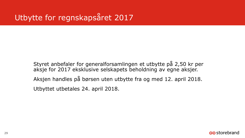Styret anbefaler for generalforsamlingen et utbytte på 2,50 kr per aksje for 2017 eksklusive selskapets beholdning av egne aksjer. Aksjen handles på børsen uten utbytte fra og med 12. april 2018. Utbyttet utbetales 24. april 2018.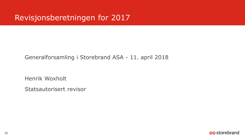### Revisjonsberetningen for 2017

### Generalforsamling i Storebrand ASA - 11. april 2018

Henrik Woxholt

Statsautorisert revisor

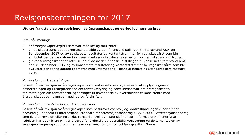## Revisjonsberetningen for 2017

**Utdrag fra uttalelse om revisjonen av årsregnskapet og øvrige lovmessige krav**

#### Etter vår mening:

- er årsregnskapet avgitt i samsvar med lov og forskrifter
- gir selskapsregnskapet et rettvisende bilde av den finansielle stillingen til Storebrand ASA per 31. desember 2017 og av selskapets resultater og kontantstrømmer for regnskapsåret som ble avsluttet per denne datoen i samsvar med regnskapslovens regler og god regnskapsskikk i Norge.
- gir konsernregnskapet et rettvisende bilde av den finansielle stillingen til konsernet Storebrand ASA per 31. desember 2017 og av konsernets resultater og kontantstrømmer for regnskapsåret som ble avsluttet per denne datoen i samsvar med International Financial Reporting Standards som fastsatt av EU.

#### *Konklusjon om årsberetningen*

Basert på vår revisjon av årsregnskapet som beskrevet ovenfor, mener vi at opplysningene i årsberetningen og i redegjørelsene om foretaksstyring og samfunnsansvar om årsregnskapet, forutsetningen om fortsatt drift og forslaget til anvendelse av overskuddet er konsistente med årsregnskapet og i samsvar med lov og forskrifter.

#### *Konklusjon om registrering og dokumentasjon*

Basert på vår revisjon av årsregnskapet som beskrevet ovenfor, og kontrollhandlinger vi har funnet nødvendig i henhold til internasjonal standard for attestasjonsoppdrag (ISAE) 3000 «Attestasjonsoppdrag som ikke er revisjon eller forenklet revisorkontroll av historisk finansiell informasjon», mener vi at ledelsen har oppfylt sin plikt til å sørge for ordentlig og oversiktlig registrering og dokumentasjon av selskapets regnskapsopplysninger i samsvar med lov og god bokføringsskikk i Norge.

### ලන storebrand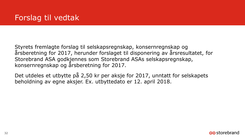Styrets fremlagte forslag til selskapsregnskap, konsernregnskap og årsberetning for 2017, herunder forslaget til disponering av årsresultatet, for Storebrand ASA godkjennes som Storebrand ASAs selskapsregnskap, konsernregnskap og årsberetning for 2017.

Det utdeles et utbytte på 2,50 kr per aksje for 2017, unntatt for selskapets beholdning av egne aksjer. Ex. utbyttedato er 12. april 2018.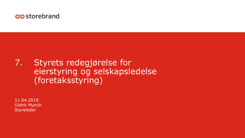

## 7. Styrets redegjørelse for eierstyring og selskapsledelse (foretaksstyring)

11.04.2018 Didrik Munch Styreleder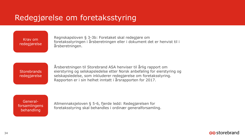### Redegjørelse om foretaksstyring

Krav om redegjørelse Regnskapsloven § 3-3b: Foretaket skal redegjøre om foretaksstyringen i årsberetningen eller i dokument det er henvist til i årsberetningen.

**Storebrands** redegjørelse

Årsberetningen til Storebrand ASA henviser til årlig rapport om eierstyring og selskapsledelse etter Norsk anbefaling for eierstyring og selskapsledelse, som inkluderer redegjørelse om foretaksstyring. Rapporten er i sin helhet inntatt i årsrapporten for 2017.

Generalforsamlingens behandling

Allmennaksjeloven § 5-6, fjerde ledd: Redegjørelsen for foretaksstyring skal behandles i ordinær generalforsamling.

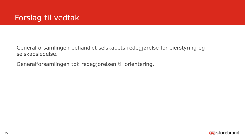## Forslag til vedtak

Generalforsamlingen behandlet selskapets redegjørelse for eierstyring og selskapsledelse.

Generalforsamlingen tok redegjørelsen til orientering.

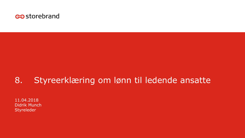

## 8. Styreerklæring om lønn til ledende ansatte

11.04.2018 Didrik Munch Styreleder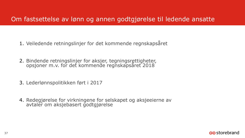#### Om fastsettelse av lønn og annen godtgjørelse til ledende ansatte

- 1. Veiledende retningslinjer for det kommende regnskapsåret
- 2. Bindende retningslinjer for aksjer, tegningsrettigheter, opsjoner m.v. for det kommende regnskapsåret 2018
- 3. Lederlønnspolitikken ført i 2017
- 4. Redegjørelse for virkningene for selskapet og aksjeeierne av avtaler om aksjebasert godtgjørelse

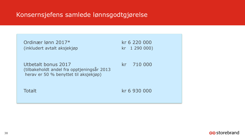#### Konsernsjefens samlede lønnsgodtgjørelse

| Ordinær Iønn 2017*<br>(inkludert avtalt aksjekjøp                                                          | kr 6 220 000<br>kr 1 290 000) |
|------------------------------------------------------------------------------------------------------------|-------------------------------|
| Utbetalt bonus 2017<br>(tilbakeholdt andel fra opptjeningsår 2013<br>herav er 50 % benyttet til aksjekjøp) | 710 000<br>kr.                |
| <b>Totalt</b>                                                                                              | kr 6 930 000                  |

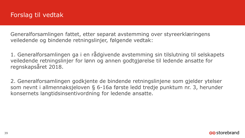Generalforsamlingen fattet, etter separat avstemming over styreerklæringens veiledende og bindende retningslinjer, følgende vedtak:

1. Generalforsamlingen ga i en rådgivende avstemming sin tilslutning til selskapets veiledende retningslinjer for lønn og annen godtgjørelse til ledende ansatte for regnskapsåret 2018.

2. Generalforsamlingen godkjente de bindende retningslinjene som gjelder ytelser som nevnt i allmennaksjeloven § 6-16a første ledd tredje punktum nr. 3, herunder konsernets langtidsinsentivordning for ledende ansatte.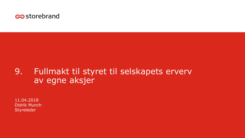

# 9. Fullmakt til styret til selskapets erverv av egne aksjer

11.04.2018 Didrik Munch Styreleder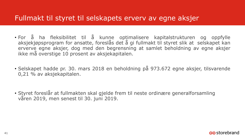#### Fullmakt til styret til selskapets erverv av egne aksjer

- For å ha fleksibilitet til å kunne optimalisere kapitalstrukturen og oppfylle aksjekjøpsprogram for ansatte, foreslås det å gi fullmakt til styret slik at selskapet kan erverve egne aksjer, dog med den begrensning at samlet beholdning av egne aksjer ikke må overstige 10 prosent av aksjekapitalen.
- Selskapet hadde pr. 30. mars 2018 en beholdning på 973.672 egne aksjer, tilsvarende 0,21 % av aksjekapitalen.
- Styret foreslår at fullmakten skal gjelde frem til neste ordinære generalforsamling våren 2019, men senest til 30. juni 2019.

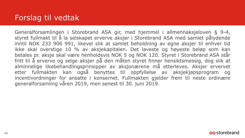### Forslag til vedtak

Generalforsamlingen i Storebrand ASA gir, med hjemmel i allmennaksjeloven § 9-4, styret fullmakt til å la selskapet erverve aksjer i Storebrand ASA med samlet pålydende inntil NOK 233 906 991, likevel slik at samlet beholdning av egne aksjer til enhver tid ikke skal overstige 10 % av aksjekapitalen. Det laveste og høyeste beløp som kan betales pr. aksje skal være henholdsvis NOK 5 og NOK 120. Styret i Storebrand ASA står fritt til å erverve og selge aksjer på den måten styret finner hensiktsmessig, dog slik at alminnelige likebehandlingsprinsipper av aksjonærene må etterleves. Aksjer ervervet etter fullmakten kan også benyttes til oppfyllelse av aksjekjøpsprogram og incentivordninger for ansatte i konsernet. Fullmakten gjelder frem til neste ordinære generalforsamling våren 2019, men senest til 30. juni 2019.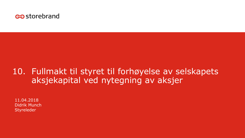

### 10. Fullmakt til styret til forhøyelse av selskapets aksjekapital ved nytegning av aksjer

11.04.2018 Didrik Munch Styreleder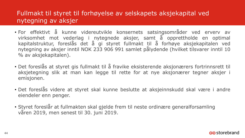#### Fullmakt til styret til forhøyelse av selskapets aksjekapital ved nytegning av aksjer

- For effektivt å kunne videreutvikle konsernets satsingsområder ved erverv av virksomhet mot vederlag i nytegnede aksjer, samt å opprettholde en optimal kapitalstruktur, foreslås det å gi styret fullmakt til å forhøye aksjekapitalen ved nytegning av aksjer inntil NOK 233 906 991 samlet pålydende (hvilket tilsvarer inntil 10 % av aksjekapitalen).
- Det foreslås at styret gis fullmakt til å fravike eksisterende aksjonærers fortrinnsrett til aksjetegning slik at man kan legge til rette for at nye aksjonærer tegner aksjer i emisjonen.
- Det foreslås videre at styret skal kunne beslutte at aksjeinnskudd skal være i andre eiendeler enn penger.
- Styret foreslår at fullmakten skal gjelde frem til neste ordinære generalforsamling våren 2019, men senest til 30. juni 2019.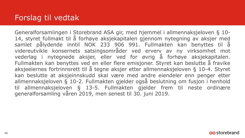## Forslag til vedtak

Generalforsamlingen i Storebrand ASA gir, med hjemmel i allmennaksjeloven § 10- 14, styret fullmakt til å forhøye aksjekapitalen gjennom nytegning av aksjer med samlet pålydende inntil NOK 233 906 991. Fullmakten kan benyttes til å videreutvikle konsernets satsingsområder ved erverv av ny virksomhet mot vederlag i nytegnede aksjer, eller ved for øvrig å forhøye aksjekapitalen. Fullmakten kan benyttes ved en eller flere emisjoner. Styret kan beslutte å fravike aksjeeiernes fortrinnsrett til å tegne aksjer etter allmennaksjeloven § 10-4. Styret kan beslutte at aksjeinnskudd skal være med andre eiendeler enn penger etter allmennaksjeloven § 10-2. Fullmakten gjelder også beslutning om fusjon i henhold til allmennaksjeloven § 13-5. Fullmakten gjelder frem til neste ordinære generalforsamling våren 2019, men senest til 30. juni 2019.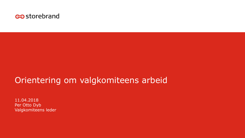

## Orientering om valgkomiteens arbeid

11.04.2018 Per Otto Dyb Valgkomiteens leder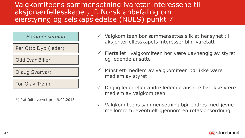Valgkomiteens sammensetning ivaretar interessene til aksjonærfellesskapet, jf. Norsk anbefaling om eierstyring og selskapsledelse (NUES) punkt 7



\*) fratrådte vervet pr. 19.02.2018

- $\checkmark$  Valgkomiteen bør sammensettes slik at hensynet til aksjonærfellesskapets interesser blir ivaretatt
- $\checkmark$  Flertallet i valgkomiteen bør være uavhengig av styret og ledende ansatte
- $\checkmark$  Minst ett medlem av valgkomiteen bør ikke være medlem av styret
- Daglig leder eller andre ledende ansatte bør ikke være medlem av valgkomiteen
- $\checkmark$  Valgkomiteens sammensetning bør endres med jevne mellomrom, eventuelt gjennom en rotasjonsordning

#### ostorebrand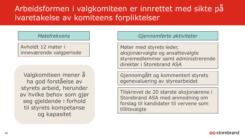## Arbeidsformen i valgkomiteen er innrettet med sikte på ivaretakelse av komiteens forpliktelser

#### *Møtefrekvens*

Avholdt 12 møter i inneværende valgperiode

Valgkomiteen mener å ha god forståelse av styrets arbeid, herunder av hvilke behov som gjør seg gjeldende i forhold til styrets kompetanse og kapasitet

*Gjennomførte aktiviteter*

Møter med styrets leder, aksjonærvalgte og ansattevalgte styremedlemmer samt administrerende direktør i Storebrand ASA

Gjennomgått og kommentert styrets egenevaluering av styrearbeidet

Tilskrevet de 20 største aksjonærene i Storebrand ASA med anmodning om forslag til kandidater til vervene som tillitsvalgte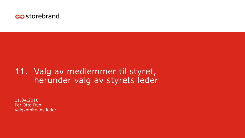

### 11. Valg av medlemmer til styret, herunder valg av styrets leder

11.04.2018 Per Otto Dyb Valgkomiteens leder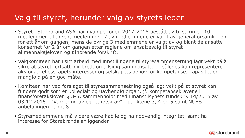- Styret i Storebrand ASA har i valgperioden 2017-2018 bestått av til sammen 10 medlemmer, uten varamedlemmer. 7 av medlemmene er valgt av generalforsamlingen for ett år om gangen, mens de øvrige 3 medlemmene er valgt av og blant de ansatte i konsernet for 2 år om gangen etter reglene om ansattevalg til styret i allmennaksjeloven og tilhørende forskrift.
- Valgkomiteen har i sitt arbeid med innstillingene til styresammensetning lagt vekt på å sikre at styret fortsatt blir bredt og allsidig sammensatt, og således kan representere aksjonærfellesskapets interesser og selskapets behov for kompetanse, kapasitet og mangfold på en god måte.
- Komiteen har ved forslaget til styresammensetning også lagt vekt på at styret kan fungere godt som et kollegialt og uavhengig organ, jf. kompetansekravene i finansforetaksloven § 3-5, sammenholdt med Finanstilsynets rundskriv 14/2015 av 03.12.2015 - "Vurdering av egnethetskrav" - punktene 3, 4 og 5 samt NUESanbefalingen punkt 8.
- Styremedlemmene må videre være habile og ha nødvendig integritet, samt ha interesse for Storebrands anliggender.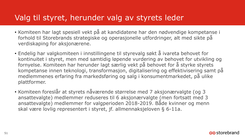- Komiteen har lagt spesiell vekt på at kandidatene har den nødvendige kompetanse i forhold til Storebrands strategiske og operasjonelle utfordringer, alt med sikte på verdiskaping for aksjonærene.
- Endelig har valgkomiteen i innstillingene til styrevalg søkt å ivareta behovet for kontinuitet i styret, men med samtidig løpende vurdering av behovet for utvikling og fornyelse. Komiteen har herunder lagt særlig vekt på behovet for å styrke styrets kompetanse innen teknologi, transformasjon, digitalisering og effektivisering samt på medlemmenes erfaring fra markedsføring og salg i konsumentmarkedet, på ulike plattformer.
- Komiteen foreslår at styrets nåværende størrelse med 7 aksjonærvalgte (og 3 ansattevalgte) medlemmer reduseres til 6 aksjonærvalgte (men fortsatt med 3 ansattevalgte) medlemmer for valgperioden 2018-2019. Både kvinner og menn skal være lovlig representert i styret, jf. allmennaksjeloven § 6-11a.

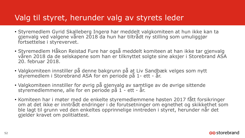- Styremedlem Gyrid Skalleberg Ingerø har meddelt valgkomiteen at hun ikke kan ta gjenvalg ved valgene våren 2018 da hun har tiltrådt ny stilling som umuliggjør fortsettelse i styrevervet.
- Styremedlem Håkon Reistad Fure har også meddelt komiteen at han ikke tar gjenvalg våren 2018 da de selskapene som han er tilknyttet solgte sine aksjer i Storebrand ASA 20. februar 2018.
- Valgkomiteen innstiller på denne bakgrunn på at Liv Sandbæk velges som nytt styremedlem i Storebrand ASA for en periode på 1- ett - år.
- Valgkomiteen innstiller for øvrig på gjenvalg av samtlige av de øvrige sittende styremedlemmene, alle for en periode på 1 - ett - år.
- Komiteen har i møter med de enkelte styremedlemmene høsten 2017 fått forsikringer om at det ikke er inntrådt endringer i de forutsetninger om egnethet og skikkethet som ble lagt til grunn ved den enkeltes opprinnelige inntreden i styret, herunder når det gjelder kravet om politiattest.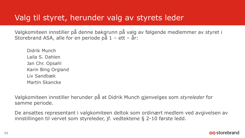Valgkomiteen innstiller på denne bakgrunn på valg av følgende medlemmer av styret i Storebrand ASA, alle for en periode på  $1 - \text{ett} - \text{ar}$ :

Didrik Munch Laila S. Dahlen Jan Chr. Opsahl Karin Bing Orgland Liv Sandbæk Martin Skancke

Valgkomiteen innstiller herunder på at Didrik Munch gjenvelges som *styreleder* for samme periode.

De ansattes representant i valgkomiteen deltok som ordinært medlem ved avgivelsen av innstillingen til vervet som styreleder, jf. vedtektene § 2-10 første ledd.

#### ostorebrand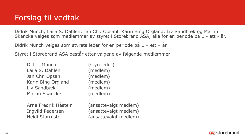### Forslag til vedtak

Didrik Munch, Laila S. Dahlen, Jan Chr. Opsahl, Karin Bing Orgland, Liv Sandbæk og Martin Skancke velges som medlemmer av styret i Storebrand ASA, alle for en periode på 1 - ett - år.

Didrik Munch velges som styrets leder for en periode på 1 – ett – år.

Styret i Storebrand ASA består etter valgene av følgende medlemmer:

| Didrik Munch       | (styreleder) |
|--------------------|--------------|
| Laila S. Dahlen    | (medlem)     |
| Jan Chr. Opsahl    | (medlem)     |
| Karin Bing Orgland | (medlem)     |
| Liv Sandbæk        | (medlem)     |
| Martin Skancke     | (medlem)     |
|                    |              |

Arne Fredrik Håstein (ansattevalgt medlem) Ingvild Pedersen (ansattevalgt medlem) Heidi Storruste (ansattevalgt medlem)

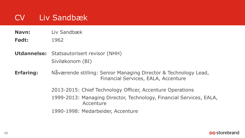# CV Liv Sandbæk

**Navn:** Liv Sandbæk

**Født:** 1962

**Utdannelse:** Statsautorisert revisor (NHH) Siviløkonom (BI)

**Erfaring:** Nåværende stilling: Senior Managing Director & Technology Lead, Financial Services, EALA, Accenture

2013-2015: Chief Technology Officer, Accenture Operations

1999-2013: Managing Director, Technology, Financial Services, EALA, **Accenture** 

1990-1998: Medarbeider, Accenture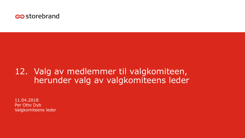

### 12. Valg av medlemmer til valgkomiteen, herunder valg av valgkomiteens leder

11.04.2018 Per Otto Dyb Valgkomiteens leder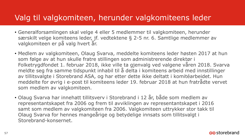#### Valg til valgkomiteen, herunder valgkomiteens leder

- Generalforsamlingen skal velge 4 eller 5 medlemmer til valgkomiteen, herunder særskilt velge komiteens leder, jf. vedtektene § 2-5 nr. 6. Samtlige medlemmer av valgkomiteen er på valg hvert år.
- Medlem av valgkomiteen, Olaug Svarva, meddelte komiteens leder høsten 2017 at hun som følge av at hun skulle fratre stillingen som administrerende direktør i Folketrygdfondet 1. februar 2018, ikke ville ta gjenvalg ved valgene våren 2018. Svarva meldte seg fra samme tidspunkt inhabil til å delta i komiteens arbeid med innstillinger av tillitsvalgte i Storebrand ASA, og har etter dette ikke deltatt i komitéarbeidet. Hun meddelte for øvrig i e-post til komiteens leder 19. februar 2018 at hun fratrådte vervet som medlem av valgkomiteen.
- Olaug Svarva har innehatt tillitsverv i Storebrand i 12 år, både som medlem av representantskapet fra 2006 og frem til avviklingen av representantskapet i 2016 samt som medlem av valgkomiteen fra 2006. Valgkomiteen uttrykker stor takk til Olaug Svarva for hennes mangeårige og betydelige innsats som tillitsvalgt i Storebrand-konsernet.

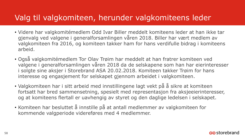#### Valg til valgkomiteen, herunder valgkomiteens leder

- Videre har valgkomitémedlem Odd Ivar Biller meddelt komiteens leder at han ikke tar gjenvalg ved valgene i generalforsamlingen våren 2018. Biller har vært medlem av valgkomiteen fra 2016, og komiteen takker ham for hans verdifulle bidrag i komiteens arbeid.
- Også valgkomitémedlem Tor Olav Trøim har meddelt at han fratrer komiteen ved valgene i generalforsamlingen våren 2018 da de selskapene som han har eierinteresser i solgte sine aksjer i Storebrand ASA 20.02.2018. Komiteen takker Trøim for hans interesse og engasjement for selskapet gjennom arbeidet i valgkomiteen.
- Valgkomiteen har i sitt arbeid med innstillingene lagt vekt på å sikre at komiteen fortsatt har bred sammensetning, spesielt med representasjon fra aksjeeierinteresser, og at komiteens flertall er uavhengig av styret og den daglige ledelsen i selskapet.
- Komiteen har besluttet å innstille på at antall medlemmer av valgkomiteen for kommende valgperiode videreføres med 4 medlemmer.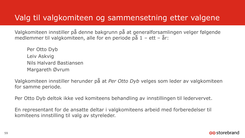### Valg til valgkomiteen og sammensetning etter valgene

Valgkomiteen innstiller på denne bakgrunn på at generalforsamlingen velger følgende medlemmer til valgkomiteen, alle for en periode på 1 – ett – år:

Per Otto Dyb Leiv Askvig Nils Halvard Bastiansen Margareth Øvrum

Valgkomiteen innstiller herunder på at *Per Otto Dyb* velges som leder av valgkomiteen for samme periode*.* 

Per Otto Dyb deltok ikke ved komiteens behandling av innstillingen til ledervervet.

En representant for de ansatte deltar i valgkomiteens arbeid med forberedelser til komiteens innstilling til valg av styreleder.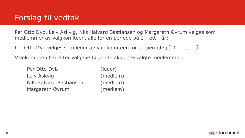### Forslag til vedtak

Per Otto Dyb, Leiv Askvig, Nils Halvard Bastiansen og Margareth Øvrum velges som medlemmer av valgkomiteen, alle for en periode på 1 - ett - år:

Per Otto Dyb velges som leder av valgkomiteen for en periode på 1 – ett – år.

Valgkomiteen har etter valgene følgende aksjonærvalgte medlemmer:

| Per Otto Dyb            | (leder)  |
|-------------------------|----------|
| Leiv Askvig             | (medlem) |
| Nils Halvard Bastiansen | (medlem) |
| Margareth Øvrum         | (medlem) |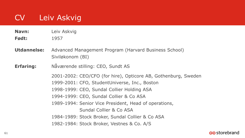# CV Leiv Askvig

**Navn:** Leiv Askvig

**Født:** 1957

**Utdannelse:** Advanced Management Program (Harvard Business School) Siviløkonom (BI)

**Erfaring:** Nåværende stilling: CEO, Sundt AS

2001-2002: CEO/CFO (for hire), Opticore AB, Gothenburg, Sweden 1999-2001: CFO, StudentUniverse, Inc., Boston 1998-1999: CEO, Sundal Collier Holding ASA 1994-1999: CEO, Sundal Collier & Co ASA 1989-1994: Senior Vice President, Head of operations, Sundal Collier & Co ASA 1984-1989: Stock Broker, Sundal Collier & Co ASA 1982-1984: Stock Broker, Vestnes & Co. A/S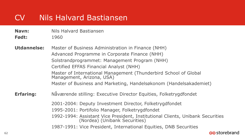## CV Nils Halvard Bastiansen

- **Navn:** Nils Halvard Bastiansen
- **Født:** 1960
- **Utdannelse:** Master of Business Administration in Finance (NHH) Advanced Programme in Corporate Finance (NHH) Solstrandprogrammet: Management Program (NHH) Certified EFFAS Financial Analyst (NHH) Master of International Management (Thunderbird School of Global Management, Arizona, USA) Master of Business and Marketing, Handelsøkonom (Handelsakademiet)
- **Erfaring:** Nåværende stilling: Executive Director Equities, Folketrygdfondet
	- 2001-2004: Deputy Investment Director, Folketrygdfondet
	- 1995-2001: Portifolio Manager, Folketrygdfondet
	- 1992-1994: Assistant Vice President, Institutional Clients, Unibank Securities (Nordea) (Unibank Securities)
	- 1987-1991: Vice President, International Equities, DNB Securities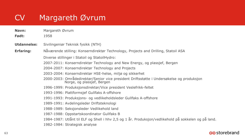# CV Margareth Øvrum

- **Navn:** Margareth Øvrum
- **Født:** 1958
- **Utdannelse:** Sivilingeniør Teknisk fysikk (NTH)
- **Erfaring:** Nåværende stilling: Konserndirektør Technology, Projects and Drilling, Statoil ASA
	- Diverse stillinger i Statoil og StatoilHydro:
	- 2007-2011: Konserndirektør Technology and New Energy, og plassjef, Bergen
	- 2004-2007: Konserndirektør Technology and Projects
	- 2003-2004: Konserndirektør HSE-helse, miljø og sikkerhet
	- 2000-2003: Områdedirektør/Senior vice president Driftsstøtte i Undersøkelse og produksjon Norge, og plassjef, Bergen
	- 1996-1999: Produksjonsdirektør/Vice president Veslefrikk-feltet
	- 1993-1996: Plattformsjef Gullfaks A-offshore
	- 1991-1993: Produksjons- og vedlikeholdsleder Gullfaks A-offshore
	- 1989-1991: Avdelingsleder Driftsteknologi
	- 1988-1989: Seksjonsleder Vedlikehold land
	- 1987-1988: Oppstartskoordinator Gullfaks B
	- 1984-1987: Utlånt til ELF og Shell i hhv 2,5 og 1 år. Produksjon/vedlikehold på sokkelen og på land.
	- 1982-1984: Strategisk analyse

#### <u>ඏ</u>storebrand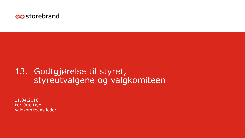

### 13. Godtgjørelse til styret, styreutvalgene og valgkomiteen

11.04.2018 Per Otto Dyb Valgkomiteens leder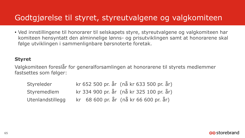#### Godtgjørelse til styret, styreutvalgene og valgkomiteen

• Ved innstillingene til honorarer til selskapets styre, styreutvalgene og valgkomiteen har komiteen hensyntatt den alminnelige lønns- og prisutviklingen samt at honorarene skal følge utviklingen i sammenlignbare børsnoterte foretak.

#### **Styret**

Valgkomiteen foreslår for generalforsamlingen at honorarene til styrets medlemmer fastsettes som følger:

| Styreleder       |  |  |  |  | kr 652 500 pr. år (nå kr 633 500 pr. år) |  |
|------------------|--|--|--|--|------------------------------------------|--|
| Styremedlem      |  |  |  |  | kr 334 900 pr. år (nå kr 325 100 pr. år) |  |
| Utenlandstillegg |  |  |  |  | kr 68 600 pr. år (nå kr 66 600 pr. år)   |  |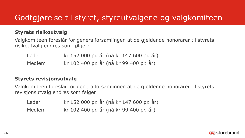### Godtgjørelse til styret, styreutvalgene og valgkomiteen

#### **Styrets risikoutvalg**

Valgkomiteen foreslår for generalforsamlingen at de gjeldende honorarer til styrets risikoutvalg endres som følger:

| Leder  | kr 152 000 pr. år (nå kr 147 600 pr. år) |
|--------|------------------------------------------|
| Medlem | kr 102 400 pr. år (nå kr 99 400 pr. år)  |

#### **Styrets revisjonsutvalg**

Valgkomiteen foreslår for generalforsamlingen at de gjeldende honorarer til styrets revisjonsutvalg endres som følger:

| Leder  | kr 152 000 pr. år (nå kr 147 600 pr. år) |
|--------|------------------------------------------|
| Medlem | kr 102 400 pr. år (nå kr 99 400 pr. år)  |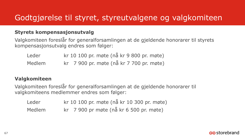### Godtgjørelse til styret, styreutvalgene og valgkomiteen

#### **Styrets kompensasjonsutvalg**

Valgkomiteen foreslår for generalforsamlingen at de gjeldende honorarer til styrets kompensasjonsutvalg endres som følger:

| Leder  |  |  |  |  |  | kr 10 100 pr. møte (nå kr 9 800 pr. møte) |
|--------|--|--|--|--|--|-------------------------------------------|
| Medlem |  |  |  |  |  | kr 7 900 pr. møte (nå kr 7 700 pr. møte)  |

#### **Valgkomiteen**

Valgkomiteen foreslår for generalforsamlingen at de gjeldende honorarer til valgkomiteens medlemmer endres som følger:

| Leder  | kr 10 100 pr. møte (nå kr 10 300 pr. møte) |  |
|--------|--------------------------------------------|--|
| Medlem | kr 7 900 pr møte (nå kr 6 500 pr. møte)    |  |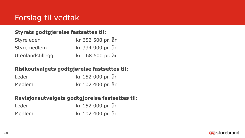## Forslag til vedtak

#### **Styrets godtgjørelse fastsettes til:**

| Styreleder       | kr 652 500 pr. år |
|------------------|-------------------|
| Styremedlem      | kr 334 900 pr. år |
| Utenlandstillegg | kr 68 600 pr. år  |

#### **Risikoutvalgets godtgjørelse fastsettes til:**

| Leder  | kr 152 000 pr. år |
|--------|-------------------|
| Medlem | kr 102 400 pr. år |

#### **Revisjonsutvalgets godtgjørelse fastsettes til:**

| Leder  | kr 152 000 pr. år |
|--------|-------------------|
| Medlem | kr 102 400 pr. år |

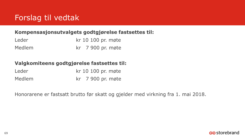## Forslag til vedtak

#### **Kompensasjonsutvalgets godtgjørelse fastsettes til:**

| Leder  | kr 10 100 pr. møte |
|--------|--------------------|
| Medlem | kr 7 900 pr. møte  |

#### **Valgkomiteens godtgjørelse fastsettes til:**

| Leder  | kr 10 100 pr. møte |
|--------|--------------------|
| Medlem | kr 7 900 pr. møte  |

Honorarene er fastsatt brutto før skatt og gjelder med virkning fra 1. mai 2018.

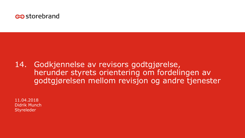

#### 14. Godkjennelse av revisors godtgjørelse, herunder styrets orientering om fordelingen av godtgjørelsen mellom revisjon og andre tjenester

11.04.2018 Didrik Munch Styreleder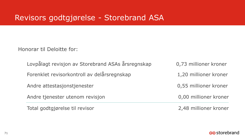### Revisors godtgjørelse - Storebrand ASA

Honorar til Deloitte for:

| Lovpålagt revisjon av Storebrand ASAs årsregnskap | 0,73 millioner kroner |
|---------------------------------------------------|-----------------------|
| Forenklet revisorkontroll av delårsregnskap       | 1,20 millioner kroner |
| Andre attestasjonstjenester                       | 0,55 millioner kroner |
| Andre tjenester utenom revisjon                   | 0,00 millioner kroner |
| Total godtgjørelse til revisor                    | 2,48 millioner kroner |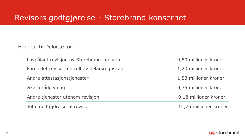#### Revisors godtgjørelse - Storebrand konsernet

Honorar til Deloitte for:

| Lovpålagt revisjon av Storebrand konsern    | 9,50 millioner kroner  |
|---------------------------------------------|------------------------|
| Forenklet revisorkontroll av delårsregnskap | 1,20 millioner kroner  |
| Andre attestasjonstjenester                 | 1,53 millioner kroner  |
| Skatterådgivning                            | 0,35 millioner kroner  |
| Andre tjenester utenom revisjon             | 0,18 millioner kroner  |
| Total godtgjørelse til revisor              | 12,76 millioner kroner |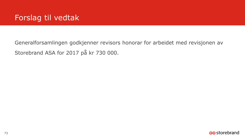## Forslag til vedtak

Generalforsamlingen godkjenner revisors honorar for arbeidet med revisjonen av Storebrand ASA for 2017 på kr 730 000.

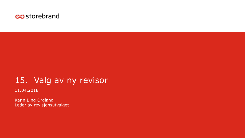

# 15. Valg av ny revisor

11.04.2018

Karin Bing Orgland Leder av revisjonsutvalget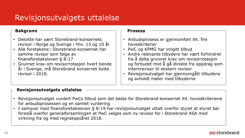### Revisjonsutvalgets uttalelse

#### **Bakgrunn**

- Deloitte har vært Storebrand-konsernets revisor i Norge og Sverige i hhv. 13 og 10 år
- Alle foretakene i Storebrand-konsernet har samme revisor som følge av finansforetaksloven § 8-17
- Grunnet krav om revisorrotasjon hvert tiende år i Sverige, må Storebrand konsernet bytte revisor i 2018.

#### **Prosess**

- Anbudsprosess er gjennomført iht. fire hovedkriterier
- PwC og KPMG har inngitt tilbud
- Andre relevante tilbydere har vært forhindret fra å delta grunnet krav om revisorrotasjon og forbudet mot å gå direkte fra oppdrag som internrevisor til ekstern revisor
- Revisjonsutvalget har gjennomgått tilbudene og avholdt møter med tilbyderne

### **Revisjonsutvalgets uttalelse**

- Revisjonsutvalget vurdert PwCs tilbud som det beste for Storebrand-konsernet iht. hovedkriteriene for anbudsprosessen og en samlet vurdering
- I samsvar med finansforetaksloven § 8-19 har revisjonsutvalget uttalt overfor styret at styret bør foreslå overfor generalforsamlingen at PwC velges som ny revisor for i Storebrand ASA med virkning fra og med regnskapsåret 2018.

#### es storebrand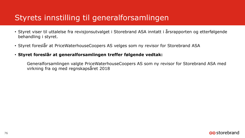# Styrets innstilling til generalforsamlingen

- Styret viser til uttalelse fra revisjonsutvalget i Storebrand ASA inntatt i årsrapporten og etterfølgende behandling i styret.
- Styret foreslår at PriceWaterhouseCoopers AS velges som ny revisor for Storebrand ASA

### • **Styret foreslår at generalforsamlingen treffer følgende vedtak:**

Generalforsamlingen valgte PriceWaterhouseCoopers AS som ny revisor for Storebrand ASA med virkning fra og med regnskapsåret 2018